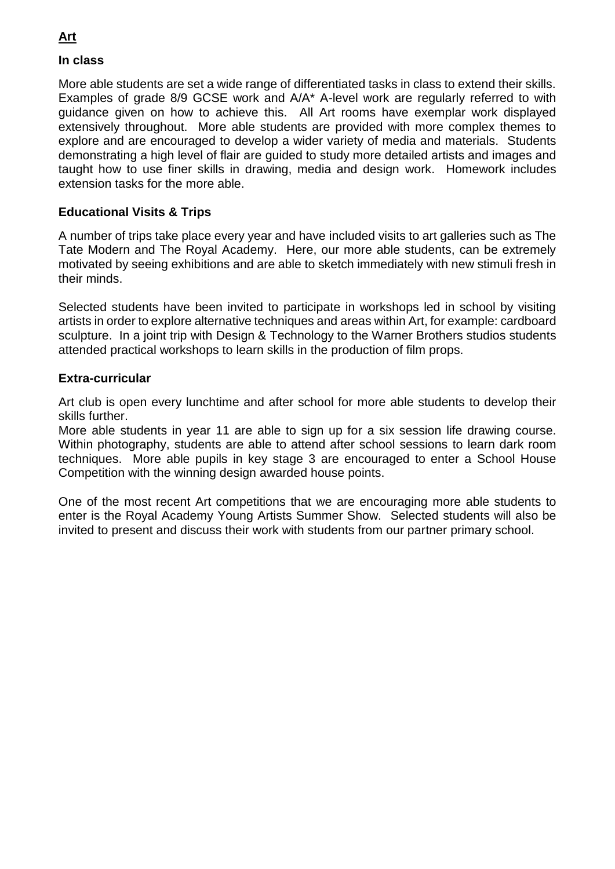### **In class**

More able students are set a wide range of differentiated tasks in class to extend their skills. Examples of grade 8/9 GCSE work and A/A\* A-level work are regularly referred to with guidance given on how to achieve this. All Art rooms have exemplar work displayed extensively throughout. More able students are provided with more complex themes to explore and are encouraged to develop a wider variety of media and materials. Students demonstrating a high level of flair are guided to study more detailed artists and images and taught how to use finer skills in drawing, media and design work. Homework includes extension tasks for the more able.

### **Educational Visits & Trips**

A number of trips take place every year and have included visits to art galleries such as The Tate Modern and The Royal Academy. Here, our more able students, can be extremely motivated by seeing exhibitions and are able to sketch immediately with new stimuli fresh in their minds.

Selected students have been invited to participate in workshops led in school by visiting artists in order to explore alternative techniques and areas within Art, for example: cardboard sculpture. In a joint trip with Design & Technology to the Warner Brothers studios students attended practical workshops to learn skills in the production of film props.

#### **Extra-curricular**

Art club is open every lunchtime and after school for more able students to develop their skills further.

More able students in year 11 are able to sign up for a six session life drawing course. Within photography, students are able to attend after school sessions to learn dark room techniques. More able pupils in key stage 3 are encouraged to enter a School House Competition with the winning design awarded house points.

One of the most recent Art competitions that we are encouraging more able students to enter is the Royal Academy Young Artists Summer Show. Selected students will also be invited to present and discuss their work with students from our partner primary school.

### **Art**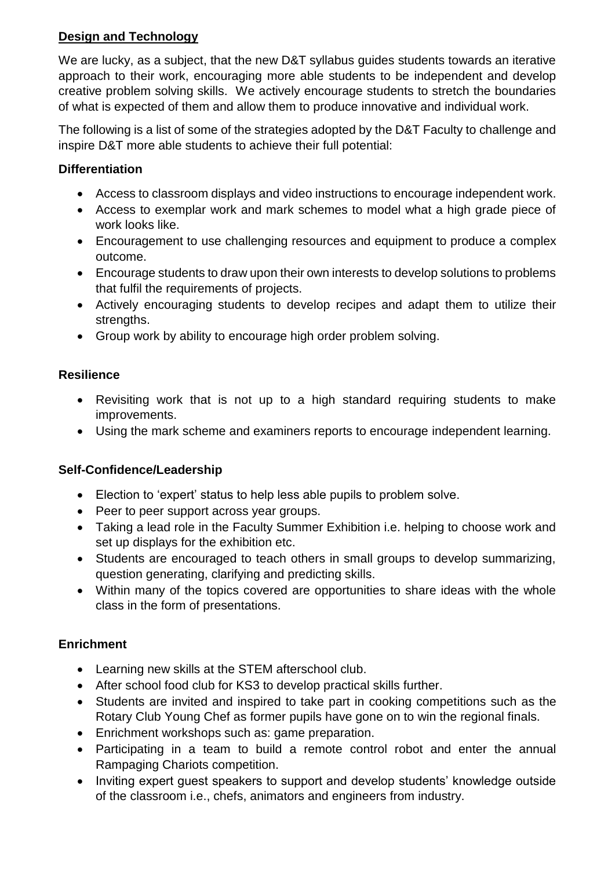# **Design and Technology**

We are lucky, as a subject, that the new D&T syllabus guides students towards an iterative approach to their work, encouraging more able students to be independent and develop creative problem solving skills. We actively encourage students to stretch the boundaries of what is expected of them and allow them to produce innovative and individual work.

The following is a list of some of the strategies adopted by the D&T Faculty to challenge and inspire D&T more able students to achieve their full potential:

## **Differentiation**

- Access to classroom displays and video instructions to encourage independent work.
- Access to exemplar work and mark schemes to model what a high grade piece of work looks like.
- Encouragement to use challenging resources and equipment to produce a complex outcome.
- Encourage students to draw upon their own interests to develop solutions to problems that fulfil the requirements of projects.
- Actively encouraging students to develop recipes and adapt them to utilize their strengths.
- Group work by ability to encourage high order problem solving.

### **Resilience**

- Revisiting work that is not up to a high standard requiring students to make improvements.
- Using the mark scheme and examiners reports to encourage independent learning.

# **Self-Confidence/Leadership**

- Election to 'expert' status to help less able pupils to problem solve.
- Peer to peer support across year groups.
- Taking a lead role in the Faculty Summer Exhibition i.e. helping to choose work and set up displays for the exhibition etc.
- Students are encouraged to teach others in small groups to develop summarizing, question generating, clarifying and predicting skills.
- Within many of the topics covered are opportunities to share ideas with the whole class in the form of presentations.

# **Enrichment**

- Learning new skills at the STEM afterschool club.
- After school food club for KS3 to develop practical skills further.
- Students are invited and inspired to take part in cooking competitions such as the Rotary Club Young Chef as former pupils have gone on to win the regional finals.
- Enrichment workshops such as: game preparation.
- Participating in a team to build a remote control robot and enter the annual Rampaging Chariots competition.
- Inviting expert guest speakers to support and develop students' knowledge outside of the classroom i.e., chefs, animators and engineers from industry.